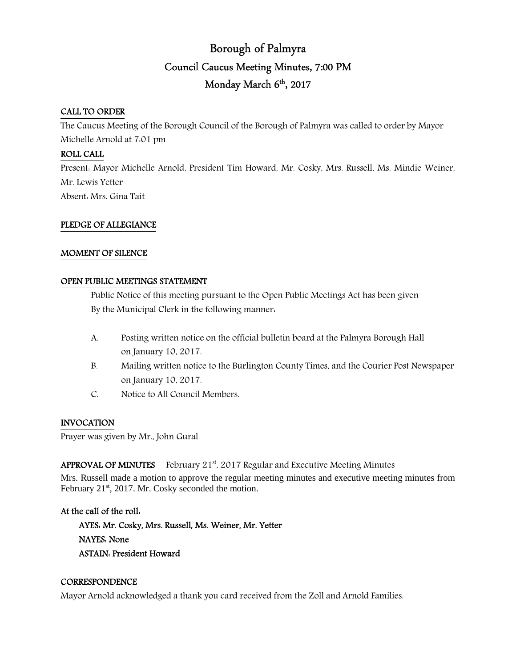# Borough of Palmyra Council Caucus Meeting Minutes, 7:00 PM Monday March 6<sup>th</sup>, 2017

# CALL TO ORDER

The Caucus Meeting of the Borough Council of the Borough of Palmyra was called to order by Mayor Michelle Arnold at 7:01 pm

# ROLL CALL

Present: Mayor Michelle Arnold, President Tim Howard, Mr. Cosky, Mrs. Russell, Ms. Mindie Weiner, Mr. Lewis Yetter Absent: Mrs. Gina Tait

# PLEDGE OF ALLEGIANCE

#### MOMENT OF SILENCE

#### OPEN PUBLIC MEETINGS STATEMENT

 Public Notice of this meeting pursuant to the Open Public Meetings Act has been given By the Municipal Clerk in the following manner:

- A. Posting written notice on the official bulletin board at the Palmyra Borough Hall on January 10, 2017.
- B. Mailing written notice to the Burlington County Times, and the Courier Post Newspaper on January 10, 2017.
- C. Notice to All Council Members.

#### INVOCATION

Prayer was given by Mr., John Gural

# APPROVAL OF MINUTES February 21<sup>st</sup>, 2017 Regular and Executive Meeting Minutes

Mrs. Russell made a motion to approve the regular meeting minutes and executive meeting minutes from February 21<sup>st</sup>, 2017. Mr. Cosky seconded the motion.

# At the call of the roll:

 AYES: Mr. Cosky, Mrs. Russell, Ms. Weiner, Mr. Yetter NAYES: None ASTAIN: President Howard

#### **CORRESPONDENCE**

Mayor Arnold acknowledged a thank you card received from the Zoll and Arnold Families.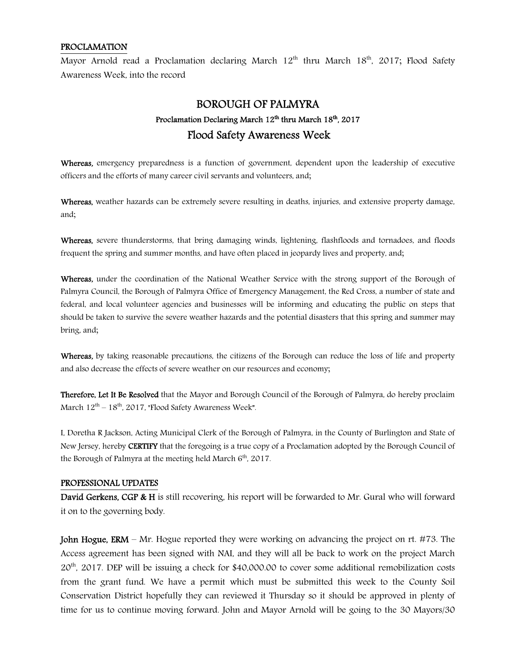#### PROCLAMATION

Mayor Arnold read a Proclamation declaring March  $12<sup>th</sup>$  thru March  $18<sup>th</sup>$ , 2017; Flood Safety Awareness Week, into the record

# BOROUGH OF PALMYRA Proclamation Declaring March 12<sup>th</sup> thru March 18<sup>th</sup>, 2017 Flood Safety Awareness Week

Whereas, emergency preparedness is a function of government, dependent upon the leadership of executive officers and the efforts of many career civil servants and volunteers, and;

Whereas, weather hazards can be extremely severe resulting in deaths, injuries, and extensive property damage, and;

Whereas, severe thunderstorms, that bring damaging winds, lightening, flashfloods and tornadoes, and floods frequent the spring and summer months, and have often placed in jeopardy lives and property, and;

Whereas, under the coordination of the National Weather Service with the strong support of the Borough of Palmyra Council, the Borough of Palmyra Office of Emergency Management, the Red Cross, a number of state and federal, and local volunteer agencies and businesses will be informing and educating the public on steps that should be taken to survive the severe weather hazards and the potential disasters that this spring and summer may bring, and;

Whereas, by taking reasonable precautions, the citizens of the Borough can reduce the loss of life and property and also decrease the effects of severe weather on our resources and economy;

Therefore, Let It Be Resolved that the Mayor and Borough Council of the Borough of Palmyra, do hereby proclaim March  $12^{th}$  –  $18^{th}$ , 2017, "Flood Safety Awareness Week".

I, Doretha R Jackson, Acting Municipal Clerk of the Borough of Palmyra, in the County of Burlington and State of New Jersey, hereby **CERTIFY** that the foregoing is a true copy of a Proclamation adopted by the Borough Council of the Borough of Palmyra at the meeting held March  $6<sup>th</sup>$ , 2017.

#### PROFESSIONAL UPDATES

David Gerkens, CGP & H is still recovering, his report will be forwarded to Mr. Gural who will forward it on to the governing body.

**John Hogue, ERM** – Mr. Hogue reported they were working on advancing the project on rt.  $\#73$ . The Access agreement has been signed with NAI, and they will all be back to work on the project March 20th, 2017. DEP will be issuing a check for \$40,000.00 to cover some additional remobilization costs from the grant fund. We have a permit which must be submitted this week to the County Soil Conservation District hopefully they can reviewed it Thursday so it should be approved in plenty of time for us to continue moving forward. John and Mayor Arnold will be going to the 30 Mayors/30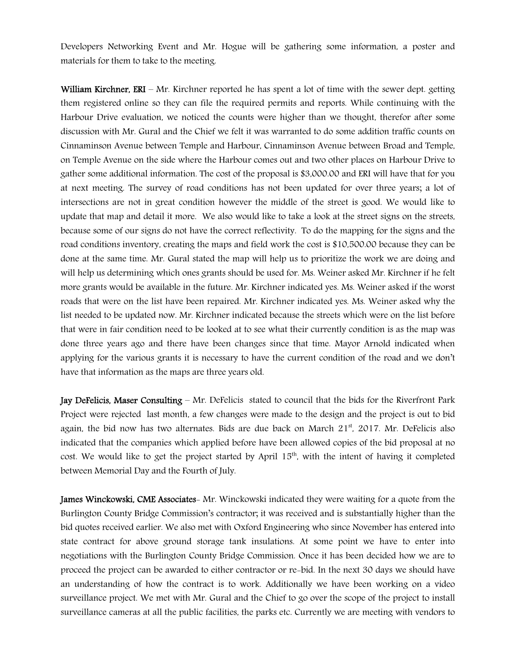Developers Networking Event and Mr. Hogue will be gathering some information, a poster and materials for them to take to the meeting.

William Kirchner, ERI – Mr. Kirchner reported he has spent a lot of time with the sewer dept. getting them registered online so they can file the required permits and reports. While continuing with the Harbour Drive evaluation, we noticed the counts were higher than we thought, therefor after some discussion with Mr. Gural and the Chief we felt it was warranted to do some addition traffic counts on Cinnaminson Avenue between Temple and Harbour, Cinnaminson Avenue between Broad and Temple, on Temple Avenue on the side where the Harbour comes out and two other places on Harbour Drive to gather some additional information. The cost of the proposal is \$3,000.00 and ERI will have that for you at next meeting. The survey of road conditions has not been updated for over three years; a lot of intersections are not in great condition however the middle of the street is good. We would like to update that map and detail it more. We also would like to take a look at the street signs on the streets, because some of our signs do not have the correct reflectivity. To do the mapping for the signs and the road conditions inventory, creating the maps and field work the cost is \$10,500.00 because they can be done at the same time. Mr. Gural stated the map will help us to prioritize the work we are doing and will help us determining which ones grants should be used for. Ms. Weiner asked Mr. Kirchner if he felt more grants would be available in the future. Mr. Kirchner indicated yes. Ms. Weiner asked if the worst roads that were on the list have been repaired. Mr. Kirchner indicated yes. Ms. Weiner asked why the list needed to be updated now. Mr. Kirchner indicated because the streets which were on the list before that were in fair condition need to be looked at to see what their currently condition is as the map was done three years ago and there have been changes since that time. Mayor Arnold indicated when applying for the various grants it is necessary to have the current condition of the road and we don't have that information as the maps are three years old.

Jay DeFelicis, Maser Consulting – Mr. DeFelicis stated to council that the bids for the Riverfront Park Project were rejected last month, a few changes were made to the design and the project is out to bid again, the bid now has two alternates. Bids are due back on March  $21<sup>st</sup>$ , 2017. Mr. DeFelicis also indicated that the companies which applied before have been allowed copies of the bid proposal at no cost. We would like to get the project started by April 15<sup>th</sup>, with the intent of having it completed between Memorial Day and the Fourth of July.

James Winckowski, CME Associates- Mr. Winckowski indicated they were waiting for a quote from the Burlington County Bridge Commission's contractor; it was received and is substantially higher than the bid quotes received earlier. We also met with Oxford Engineering who since November has entered into state contract for above ground storage tank insulations. At some point we have to enter into negotiations with the Burlington County Bridge Commission. Once it has been decided how we are to proceed the project can be awarded to either contractor or re-bid. In the next 30 days we should have an understanding of how the contract is to work. Additionally we have been working on a video surveillance project. We met with Mr. Gural and the Chief to go over the scope of the project to install surveillance cameras at all the public facilities, the parks etc. Currently we are meeting with vendors to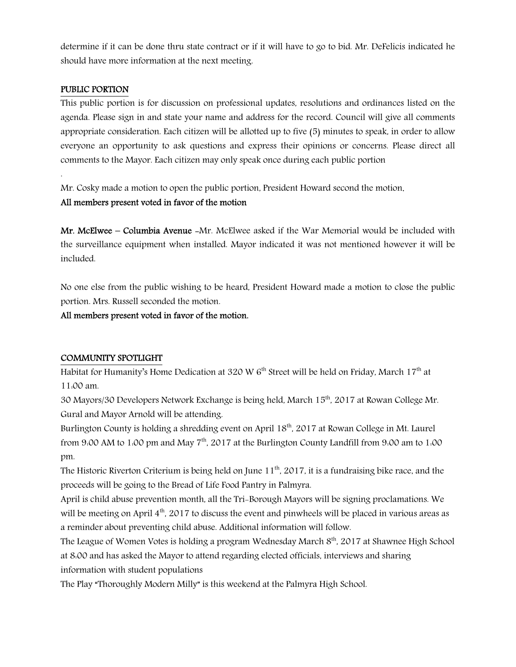determine if it can be done thru state contract or if it will have to go to bid. Mr. DeFelicis indicated he should have more information at the next meeting.

#### PUBLIC PORTION

.

This public portion is for discussion on professional updates, resolutions and ordinances listed on the agenda. Please sign in and state your name and address for the record. Council will give all comments appropriate consideration. Each citizen will be allotted up to five (5) minutes to speak, in order to allow everyone an opportunity to ask questions and express their opinions or concerns. Please direct all comments to the Mayor. Each citizen may only speak once during each public portion

Mr. Cosky made a motion to open the public portion, President Howard second the motion.

# All members present voted in favor of the motion

Mr. McElwee – Columbia Avenue -Mr. McElwee asked if the War Memorial would be included with the surveillance equipment when installed. Mayor indicated it was not mentioned however it will be included.

No one else from the public wishing to be heard, President Howard made a motion to close the public portion. Mrs. Russell seconded the motion.

All members present voted in favor of the motion.

# COMMUNITY SPOTLIGHT

Habitat for Humanity's Home Dedication at 320 W  $6<sup>th</sup>$  Street will be held on Friday, March 17<sup>th</sup> at 11:00 am.

30 Mayors/30 Developers Network Exchange is being held, March 15th, 2017 at Rowan College Mr. Gural and Mayor Arnold will be attending.

Burlington County is holding a shredding event on April 18<sup>th</sup>, 2017 at Rowan College in Mt. Laurel from 9:00 AM to 1:00 pm and May  $7<sup>th</sup>$ , 2017 at the Burlington County Landfill from 9:00 am to 1:00 pm.

The Historic Riverton Criterium is being held on June  $11<sup>th</sup>$ , 2017, it is a fundraising bike race, and the proceeds will be going to the Bread of Life Food Pantry in Palmyra.

April is child abuse prevention month, all the Tri-Borough Mayors will be signing proclamations. We will be meeting on April  $4<sup>th</sup>$ , 2017 to discuss the event and pinwheels will be placed in various areas as a reminder about preventing child abuse. Additional information will follow.

The League of Women Votes is holding a program Wednesday March 8<sup>th</sup>, 2017 at Shawnee High School at 8:00 and has asked the Mayor to attend regarding elected officials, interviews and sharing information with student populations

The Play "Thoroughly Modern Milly" is this weekend at the Palmyra High School.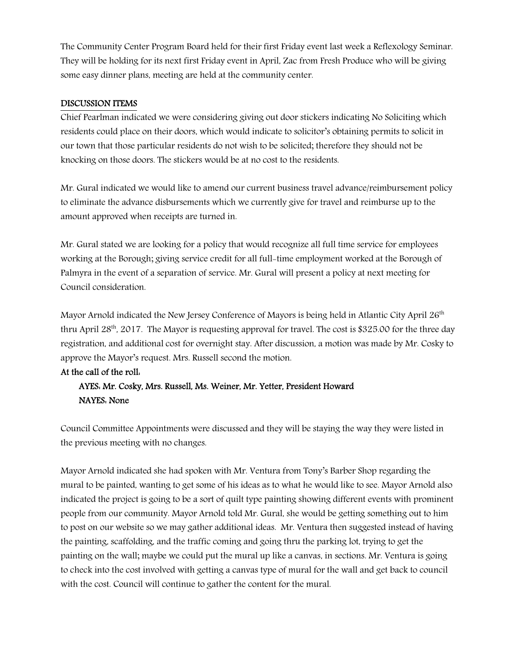The Community Center Program Board held for their first Friday event last week a Reflexology Seminar. They will be holding for its next first Friday event in April, Zac from Fresh Produce who will be giving some easy dinner plans, meeting are held at the community center.

#### DISCUSSION ITEMS

Chief Pearlman indicated we were considering giving out door stickers indicating No Soliciting which residents could place on their doors, which would indicate to solicitor's obtaining permits to solicit in our town that those particular residents do not wish to be solicited; therefore they should not be knocking on those doors. The stickers would be at no cost to the residents.

Mr. Gural indicated we would like to amend our current business travel advance/reimbursement policy to eliminate the advance disbursements which we currently give for travel and reimburse up to the amount approved when receipts are turned in.

Mr. Gural stated we are looking for a policy that would recognize all full time service for employees working at the Borough; giving service credit for all full-time employment worked at the Borough of Palmyra in the event of a separation of service. Mr. Gural will present a policy at next meeting for Council consideration.

Mayor Arnold indicated the New Jersey Conference of Mayors is being held in Atlantic City April  $26<sup>th</sup>$ thru April 28<sup>th</sup>, 2017. The Mayor is requesting approval for travel. The cost is \$325.00 for the three day registration, and additional cost for overnight stay. After discussion, a motion was made by Mr. Cosky to approve the Mayor's request. Mrs. Russell second the motion.

# At the call of the roll:

# AYES: Mr. Cosky, Mrs. Russell, Ms. Weiner, Mr. Yetter, President Howard NAYES: None

Council Committee Appointments were discussed and they will be staying the way they were listed in the previous meeting with no changes.

Mayor Arnold indicated she had spoken with Mr. Ventura from Tony's Barber Shop regarding the mural to be painted, wanting to get some of his ideas as to what he would like to see. Mayor Arnold also indicated the project is going to be a sort of quilt type painting showing different events with prominent people from our community. Mayor Arnold told Mr. Gural, she would be getting something out to him to post on our website so we may gather additional ideas. Mr. Ventura then suggested instead of having the painting, scaffolding, and the traffic coming and going thru the parking lot, trying to get the painting on the wall; maybe we could put the mural up like a canvas, in sections. Mr. Ventura is going to check into the cost involved with getting a canvas type of mural for the wall and get back to council with the cost. Council will continue to gather the content for the mural.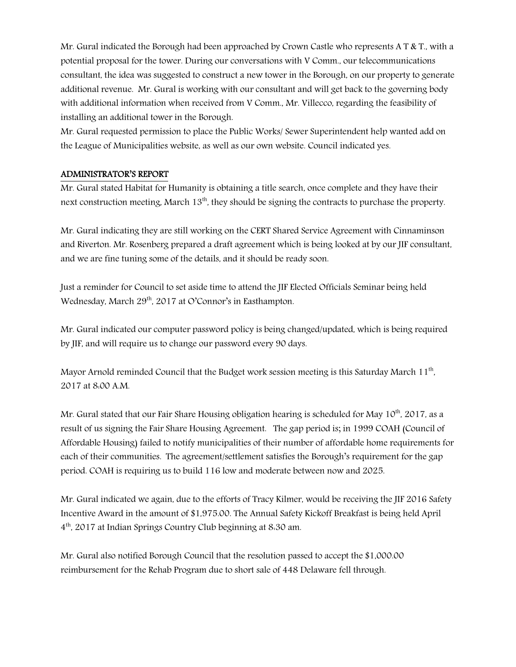Mr. Gural indicated the Borough had been approached by Crown Castle who represents A T & T., with a potential proposal for the tower. During our conversations with V Comm., our telecommunications consultant, the idea was suggested to construct a new tower in the Borough, on our property to generate additional revenue. Mr. Gural is working with our consultant and will get back to the governing body with additional information when received from V Comm., Mr. Villecco, regarding the feasibility of installing an additional tower in the Borough.

Mr. Gural requested permission to place the Public Works/ Sewer Superintendent help wanted add on the League of Municipalities website, as well as our own website. Council indicated yes.

# ADMINISTRATOR'S REPORT

Mr. Gural stated Habitat for Humanity is obtaining a title search, once complete and they have their next construction meeting, March 13<sup>th</sup>, they should be signing the contracts to purchase the property.

Mr. Gural indicating they are still working on the CERT Shared Service Agreement with Cinnaminson and Riverton. Mr. Rosenberg prepared a draft agreement which is being looked at by our JIF consultant, and we are fine tuning some of the details, and it should be ready soon.

Just a reminder for Council to set aside time to attend the JIF Elected Officials Seminar being held Wednesday, March 29<sup>th</sup>, 2017 at O'Connor's in Easthampton.

Mr. Gural indicated our computer password policy is being changed/updated, which is being required by JIF, and will require us to change our password every 90 days.

Mayor Arnold reminded Council that the Budget work session meeting is this Saturday March  $11^\mathrm{th}$ , 2017 at 8:00 A.M.

Mr. Gural stated that our Fair Share Housing obligation hearing is scheduled for May  $10^{th}$ , 2017, as a result of us signing the Fair Share Housing Agreement. The gap period is; in 1999 COAH (Council of Affordable Housing) failed to notify municipalities of their number of affordable home requirements for each of their communities. The agreement/settlement satisfies the Borough's requirement for the gap period. COAH is requiring us to build 116 low and moderate between now and 2025.

Mr. Gural indicated we again, due to the efforts of Tracy Kilmer, would be receiving the JIF 2016 Safety Incentive Award in the amount of \$1,975.00. The Annual Safety Kickoff Breakfast is being held April 4 th, 2017 at Indian Springs Country Club beginning at 8:30 am.

Mr. Gural also notified Borough Council that the resolution passed to accept the \$1,000.00 reimbursement for the Rehab Program due to short sale of 448 Delaware fell through.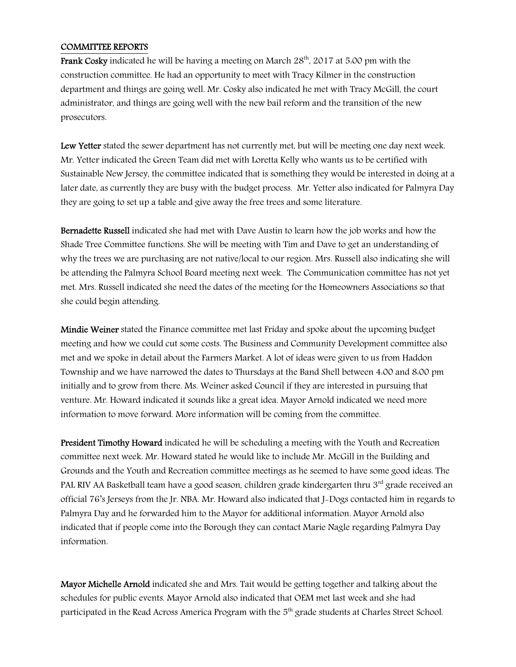#### COMMITTEE REPORTS

**Frank Cosky** indicated he will be having a meeting on March  $28<sup>th</sup>$ , 2017 at 5:00 pm with the construction committee. He had an opportunity to meet with Tracy Kilmer in the construction department and things are going well. Mr. Cosky also indicated he met with Tracy McGill, the court administrator, and things are going well with the new bail reform and the transition of the new prosecutors.

Lew Yetter stated the sewer department has not currently met, but will be meeting one day next week. Mr. Yetter indicated the Green Team did met with Loretta Kelly who wants us to be certified with Sustainable New Jersey, the committee indicated that is something they would be interested in doing at a later date, as currently they are busy with the budget process. Mr. Yetter also indicated for Palmyra Day they are going to set up a table and give away the free trees and some literature.

Bernadette Russell indicated she had met with Dave Austin to learn how the job works and how the Shade Tree Committee functions. She will be meeting with Tim and Dave to get an understanding of why the trees we are purchasing are not native/local to our region. Mrs. Russell also indicating she will be attending the Palmyra School Board meeting next week. The Communication committee has not yet met. Mrs. Russell indicated she need the dates of the meeting for the Homeowners Associations so that she could begin attending.

Mindie Weiner stated the Finance committee met last Friday and spoke about the upcoming budget meeting and how we could cut some costs. The Business and Community Development committee also met and we spoke in detail about the Farmers Market. A lot of ideas were given to us from Haddon Township and we have narrowed the dates to Thursdays at the Band Shell between 4:00 and 8:00 pm initially and to grow from there. Ms. Weiner asked Council if they are interested in pursuing that venture. Mr. Howard indicated it sounds like a great idea. Mayor Arnold indicated we need more information to move forward. More information will be coming from the committee.

President Timothy Howard indicated he will be scheduling a meeting with the Youth and Recreation committee next week. Mr. Howard stated he would like to include Mr. McGill in the Building and Grounds and the Youth and Recreation committee meetings as he seemed to have some good ideas. The PAL RIV AA Basketball team have a good season, children grade kindergarten thru 3rd grade received an official 76's Jerseys from the Jr. NBA. Mr. Howard also indicated that J-Dogs contacted him in regards to Palmyra Day and he forwarded him to the Mayor for additional information. Mayor Arnold also indicated that if people come into the Borough they can contact Marie Nagle regarding Palmyra Day information.

Mayor Michelle Arnold indicated she and Mrs. Tait would be getting together and talking about the schedules for public events. Mayor Arnold also indicated that OEM met last week and she had participated in the Read Across America Program with the 5<sup>th</sup> grade students at Charles Street School.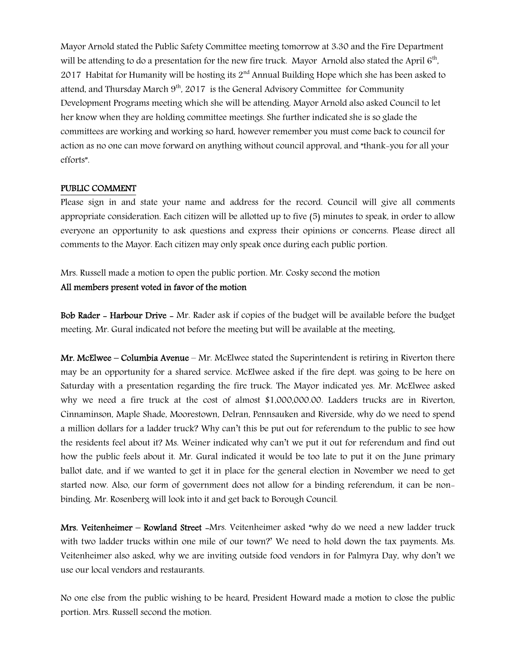Mayor Arnold stated the Public Safety Committee meeting tomorrow at 3:30 and the Fire Department will be attending to do a presentation for the new fire truck. Mayor Arnold also stated the April  $6^{\text{th}}$ , 2017 Habitat for Humanity will be hosting its  $2<sup>nd</sup>$  Annual Building Hope which she has been asked to attend, and Thursday March  $9<sup>th</sup>$ , 2017 is the General Advisory Committee for Community Development Programs meeting which she will be attending. Mayor Arnold also asked Council to let her know when they are holding committee meetings. She further indicated she is so glade the committees are working and working so hard, however remember you must come back to council for action as no one can move forward on anything without council approval, and "thank-you for all your efforts".

#### PUBLIC COMMENT

Please sign in and state your name and address for the record. Council will give all comments appropriate consideration. Each citizen will be allotted up to five (5) minutes to speak, in order to allow everyone an opportunity to ask questions and express their opinions or concerns. Please direct all comments to the Mayor. Each citizen may only speak once during each public portion.

Mrs. Russell made a motion to open the public portion. Mr. Cosky second the motion

### All members present voted in favor of the motion

Bob Rader - Harbour Drive - Mr. Rader ask if copies of the budget will be available before the budget meeting. Mr. Gural indicated not before the meeting but will be available at the meeting.

**Mr. McElwee – Columbia Avenue –** Mr. McElwee stated the Superintendent is retiring in Riverton there may be an opportunity for a shared service. McElwee asked if the fire dept. was going to be here on Saturday with a presentation regarding the fire truck. The Mayor indicated yes. Mr. McElwee asked why we need a fire truck at the cost of almost \$1,000,000.00. Ladders trucks are in Riverton, Cinnaminson, Maple Shade, Moorestown, Delran, Pennsauken and Riverside, why do we need to spend a million dollars for a ladder truck? Why can't this be put out for referendum to the public to see how the residents feel about it? Ms. Weiner indicated why can't we put it out for referendum and find out how the public feels about it. Mr. Gural indicated it would be too late to put it on the June primary ballot date, and if we wanted to get it in place for the general election in November we need to get started now. Also, our form of government does not allow for a binding referendum, it can be nonbinding. Mr. Rosenberg will look into it and get back to Borough Council.

Mrs. Veitenheimer – Rowland Street -Mrs. Veitenheimer asked "why do we need a new ladder truck with two ladder trucks within one mile of our town?' We need to hold down the tax payments. Ms. Veitenheimer also asked, why we are inviting outside food vendors in for Palmyra Day, why don't we use our local vendors and restaurants.

No one else from the public wishing to be heard, President Howard made a motion to close the public portion. Mrs. Russell second the motion.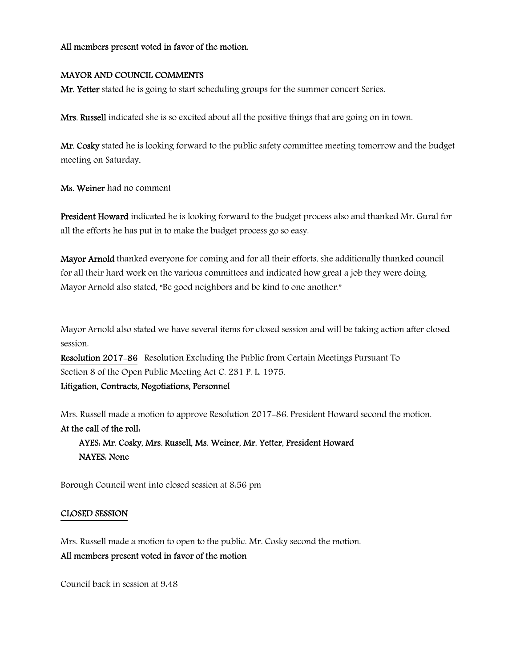#### All members present voted in favor of the motion.

#### MAYOR AND COUNCIL COMMENTS

Mr. Yetter stated he is going to start scheduling groups for the summer concert Series.

Mrs. Russell indicated she is so excited about all the positive things that are going on in town.

Mr. Cosky stated he is looking forward to the public safety committee meeting tomorrow and the budget meeting on Saturday.

Ms. Weiner had no comment

President Howard indicated he is looking forward to the budget process also and thanked Mr. Gural for all the efforts he has put in to make the budget process go so easy.

Mayor Arnold thanked everyone for coming and for all their efforts, she additionally thanked council for all their hard work on the various committees and indicated how great a job they were doing. Mayor Arnold also stated, "Be good neighbors and be kind to one another."

Mayor Arnold also stated we have several items for closed session and will be taking action after closed session.

Resolution 2017-86 Resolution Excluding the Public from Certain Meetings Pursuant To Section 8 of the Open Public Meeting Act C. 231 P. L. 1975.

Litigation, Contracts, Negotiations, Personnel

Mrs. Russell made a motion to approve Resolution 2017-86. President Howard second the motion. At the call of the roll:

 AYES: Mr. Cosky, Mrs. Russell, Ms. Weiner, Mr. Yetter, President Howard NAYES: None

Borough Council went into closed session at 8:56 pm

#### CLOSED SESSION

Mrs. Russell made a motion to open to the public. Mr. Cosky second the motion. All members present voted in favor of the motion

Council back in session at 9:48